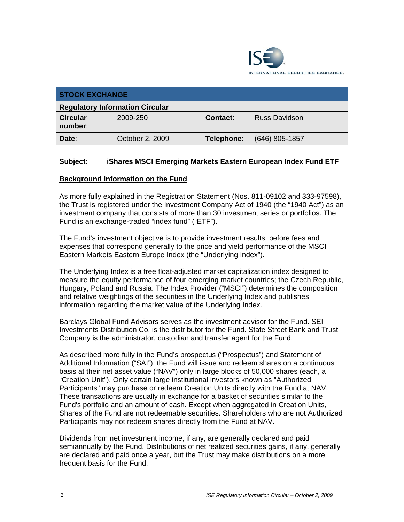

| <b>STOCK EXCHANGE</b>                  |                 |            |                      |  |  |
|----------------------------------------|-----------------|------------|----------------------|--|--|
| <b>Regulatory Information Circular</b> |                 |            |                      |  |  |
| <b>Circular</b><br>number:             | 2009-250        | Contact:   | <b>Russ Davidson</b> |  |  |
| Date:                                  | October 2, 2009 | Telephone: | (646) 805-1857       |  |  |

## **Subject: iShares MSCI Emerging Markets Eastern European Index Fund ETF**

#### **Background Information on the Fund**

As more fully explained in the Registration Statement (Nos. 811-09102 and 333-97598), the Trust is registered under the Investment Company Act of 1940 (the "1940 Act") as an investment company that consists of more than 30 investment series or portfolios. The Fund is an exchange-traded "index fund" ("ETF").

The Fund's investment objective is to provide investment results, before fees and expenses that correspond generally to the price and yield performance of the MSCI Eastern Markets Eastern Europe Index (the "Underlying Index").

The Underlying Index is a free float-adjusted market capitalization index designed to measure the equity performance of four emerging market countries; the Czech Republic, Hungary, Poland and Russia. The Index Provider ("MSCI") determines the composition and relative weightings of the securities in the Underlying Index and publishes information regarding the market value of the Underlying Index.

Barclays Global Fund Advisors serves as the investment advisor for the Fund. SEI Investments Distribution Co. is the distributor for the Fund. State Street Bank and Trust Company is the administrator, custodian and transfer agent for the Fund.

As described more fully in the Fund's prospectus ("Prospectus") and Statement of Additional Information ("SAI"), the Fund will issue and redeem shares on a continuous basis at their net asset value ("NAV") only in large blocks of 50,000 shares (each, a "Creation Unit"). Only certain large institutional investors known as "Authorized Participants" may purchase or redeem Creation Units directly with the Fund at NAV. These transactions are usually in exchange for a basket of securities similar to the Fund's portfolio and an amount of cash. Except when aggregated in Creation Units, Shares of the Fund are not redeemable securities. Shareholders who are not Authorized Participants may not redeem shares directly from the Fund at NAV.

Dividends from net investment income, if any, are generally declared and paid semiannually by the Fund. Distributions of net realized securities gains, if any, generally are declared and paid once a year, but the Trust may make distributions on a more frequent basis for the Fund.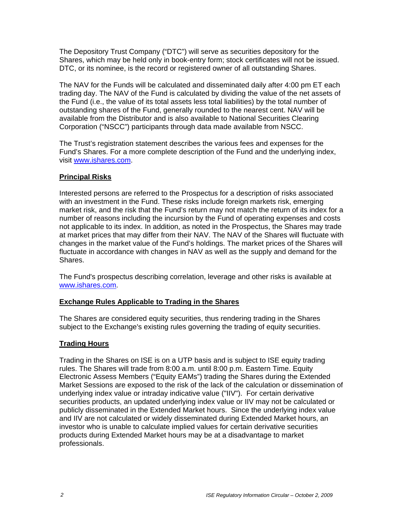The Depository Trust Company ("DTC") will serve as securities depository for the Shares, which may be held only in book-entry form; stock certificates will not be issued. DTC, or its nominee, is the record or registered owner of all outstanding Shares.

The NAV for the Funds will be calculated and disseminated daily after 4:00 pm ET each trading day. The NAV of the Fund is calculated by dividing the value of the net assets of the Fund (i.e., the value of its total assets less total liabilities) by the total number of outstanding shares of the Fund, generally rounded to the nearest cent. NAV will be available from the Distributor and is also available to National Securities Clearing Corporation ("NSCC") participants through data made available from NSCC.

The Trust's registration statement describes the various fees and expenses for the Fund's Shares. For a more complete description of the Fund and the underlying index, visit www.ishares.com.

## **Principal Risks**

Interested persons are referred to the Prospectus for a description of risks associated with an investment in the Fund. These risks include foreign markets risk, emerging market risk, and the risk that the Fund's return may not match the return of its index for a number of reasons including the incursion by the Fund of operating expenses and costs not applicable to its index. In addition, as noted in the Prospectus, the Shares may trade at market prices that may differ from their NAV. The NAV of the Shares will fluctuate with changes in the market value of the Fund's holdings. The market prices of the Shares will fluctuate in accordance with changes in NAV as well as the supply and demand for the Shares.

The Fund's prospectus describing correlation, leverage and other risks is available at www.ishares.com.

#### **Exchange Rules Applicable to Trading in the Shares**

The Shares are considered equity securities, thus rendering trading in the Shares subject to the Exchange's existing rules governing the trading of equity securities.

#### **Trading Hours**

Trading in the Shares on ISE is on a UTP basis and is subject to ISE equity trading rules. The Shares will trade from 8:00 a.m. until 8:00 p.m. Eastern Time. Equity Electronic Assess Members ("Equity EAMs") trading the Shares during the Extended Market Sessions are exposed to the risk of the lack of the calculation or dissemination of underlying index value or intraday indicative value ("IIV"). For certain derivative securities products, an updated underlying index value or IIV may not be calculated or publicly disseminated in the Extended Market hours. Since the underlying index value and IIV are not calculated or widely disseminated during Extended Market hours, an investor who is unable to calculate implied values for certain derivative securities products during Extended Market hours may be at a disadvantage to market professionals.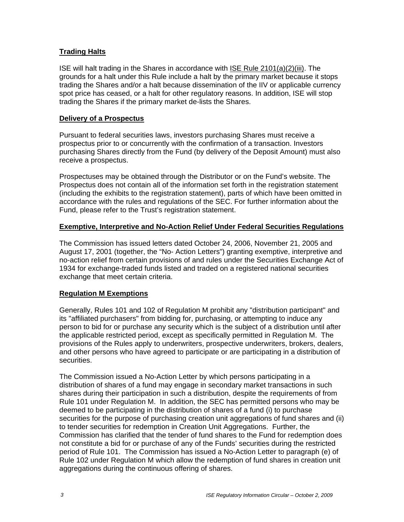## **Trading Halts**

ISE will halt trading in the Shares in accordance with ISE Rule 2101(a)(2)(iii). The grounds for a halt under this Rule include a halt by the primary market because it stops trading the Shares and/or a halt because dissemination of the IIV or applicable currency spot price has ceased, or a halt for other regulatory reasons. In addition, ISE will stop trading the Shares if the primary market de-lists the Shares.

#### **Delivery of a Prospectus**

Pursuant to federal securities laws, investors purchasing Shares must receive a prospectus prior to or concurrently with the confirmation of a transaction. Investors purchasing Shares directly from the Fund (by delivery of the Deposit Amount) must also receive a prospectus.

Prospectuses may be obtained through the Distributor or on the Fund's website. The Prospectus does not contain all of the information set forth in the registration statement (including the exhibits to the registration statement), parts of which have been omitted in accordance with the rules and regulations of the SEC. For further information about the Fund, please refer to the Trust's registration statement.

#### **Exemptive, Interpretive and No-Action Relief Under Federal Securities Regulations**

The Commission has issued letters dated October 24, 2006, November 21, 2005 and August 17, 2001 (together, the "No- Action Letters") granting exemptive, interpretive and no-action relief from certain provisions of and rules under the Securities Exchange Act of 1934 for exchange-traded funds listed and traded on a registered national securities exchange that meet certain criteria.

#### **Regulation M Exemptions**

Generally, Rules 101 and 102 of Regulation M prohibit any "distribution participant" and its "affiliated purchasers" from bidding for, purchasing, or attempting to induce any person to bid for or purchase any security which is the subject of a distribution until after the applicable restricted period, except as specifically permitted in Regulation M. The provisions of the Rules apply to underwriters, prospective underwriters, brokers, dealers, and other persons who have agreed to participate or are participating in a distribution of securities.

The Commission issued a No-Action Letter by which persons participating in a distribution of shares of a fund may engage in secondary market transactions in such shares during their participation in such a distribution, despite the requirements of from Rule 101 under Regulation M. In addition, the SEC has permitted persons who may be deemed to be participating in the distribution of shares of a fund (i) to purchase securities for the purpose of purchasing creation unit aggregations of fund shares and (ii) to tender securities for redemption in Creation Unit Aggregations. Further, the Commission has clarified that the tender of fund shares to the Fund for redemption does not constitute a bid for or purchase of any of the Funds' securities during the restricted period of Rule 101. The Commission has issued a No-Action Letter to paragraph (e) of Rule 102 under Regulation M which allow the redemption of fund shares in creation unit aggregations during the continuous offering of shares.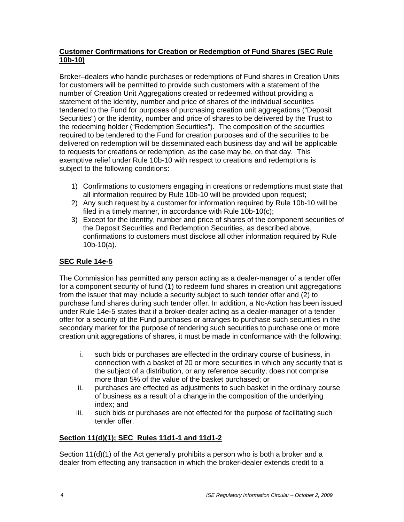### **Customer Confirmations for Creation or Redemption of Fund Shares (SEC Rule 10b-10)**

Broker–dealers who handle purchases or redemptions of Fund shares in Creation Units for customers will be permitted to provide such customers with a statement of the number of Creation Unit Aggregations created or redeemed without providing a statement of the identity, number and price of shares of the individual securities tendered to the Fund for purposes of purchasing creation unit aggregations ("Deposit Securities") or the identity, number and price of shares to be delivered by the Trust to the redeeming holder ("Redemption Securities"). The composition of the securities required to be tendered to the Fund for creation purposes and of the securities to be delivered on redemption will be disseminated each business day and will be applicable to requests for creations or redemption, as the case may be, on that day. This exemptive relief under Rule 10b-10 with respect to creations and redemptions is subject to the following conditions:

- 1) Confirmations to customers engaging in creations or redemptions must state that all information required by Rule 10b-10 will be provided upon request;
- 2) Any such request by a customer for information required by Rule 10b-10 will be filed in a timely manner, in accordance with Rule 10b-10(c);
- 3) Except for the identity, number and price of shares of the component securities of the Deposit Securities and Redemption Securities, as described above, confirmations to customers must disclose all other information required by Rule 10b-10(a).

## **SEC Rule 14e-5**

The Commission has permitted any person acting as a dealer-manager of a tender offer for a component security of fund (1) to redeem fund shares in creation unit aggregations from the issuer that may include a security subject to such tender offer and (2) to purchase fund shares during such tender offer. In addition, a No-Action has been issued under Rule 14e-5 states that if a broker-dealer acting as a dealer-manager of a tender offer for a security of the Fund purchases or arranges to purchase such securities in the secondary market for the purpose of tendering such securities to purchase one or more creation unit aggregations of shares, it must be made in conformance with the following:

- i. such bids or purchases are effected in the ordinary course of business, in connection with a basket of 20 or more securities in which any security that is the subject of a distribution, or any reference security, does not comprise more than 5% of the value of the basket purchased; or
- ii. purchases are effected as adjustments to such basket in the ordinary course of business as a result of a change in the composition of the underlying index; and
- iii. such bids or purchases are not effected for the purpose of facilitating such tender offer.

## **Section 11(d)(1); SEC Rules 11d1-1 and 11d1-2**

Section 11(d)(1) of the Act generally prohibits a person who is both a broker and a dealer from effecting any transaction in which the broker-dealer extends credit to a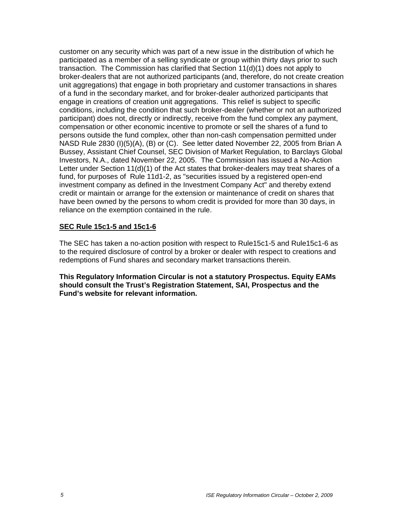customer on any security which was part of a new issue in the distribution of which he participated as a member of a selling syndicate or group within thirty days prior to such transaction. The Commission has clarified that Section 11(d)(1) does not apply to broker-dealers that are not authorized participants (and, therefore, do not create creation unit aggregations) that engage in both proprietary and customer transactions in shares of a fund in the secondary market, and for broker-dealer authorized participants that engage in creations of creation unit aggregations. This relief is subject to specific conditions, including the condition that such broker-dealer (whether or not an authorized participant) does not, directly or indirectly, receive from the fund complex any payment, compensation or other economic incentive to promote or sell the shares of a fund to persons outside the fund complex, other than non-cash compensation permitted under NASD Rule 2830 (I)(5)(A), (B) or (C). See letter dated November 22, 2005 from Brian A Bussey, Assistant Chief Counsel, SEC Division of Market Regulation, to Barclays Global Investors, N.A., dated November 22, 2005. The Commission has issued a No-Action Letter under Section 11(d)(1) of the Act states that broker-dealers may treat shares of a fund, for purposes of Rule 11d1-2, as "securities issued by a registered open-end investment company as defined in the Investment Company Act" and thereby extend credit or maintain or arrange for the extension or maintenance of credit on shares that have been owned by the persons to whom credit is provided for more than 30 days, in reliance on the exemption contained in the rule.

#### **SEC Rule 15c1-5 and 15c1-6**

The SEC has taken a no-action position with respect to Rule15c1-5 and Rule15c1-6 as to the required disclosure of control by a broker or dealer with respect to creations and redemptions of Fund shares and secondary market transactions therein.

**This Regulatory Information Circular is not a statutory Prospectus. Equity EAMs should consult the Trust's Registration Statement, SAI, Prospectus and the Fund's website for relevant information.**